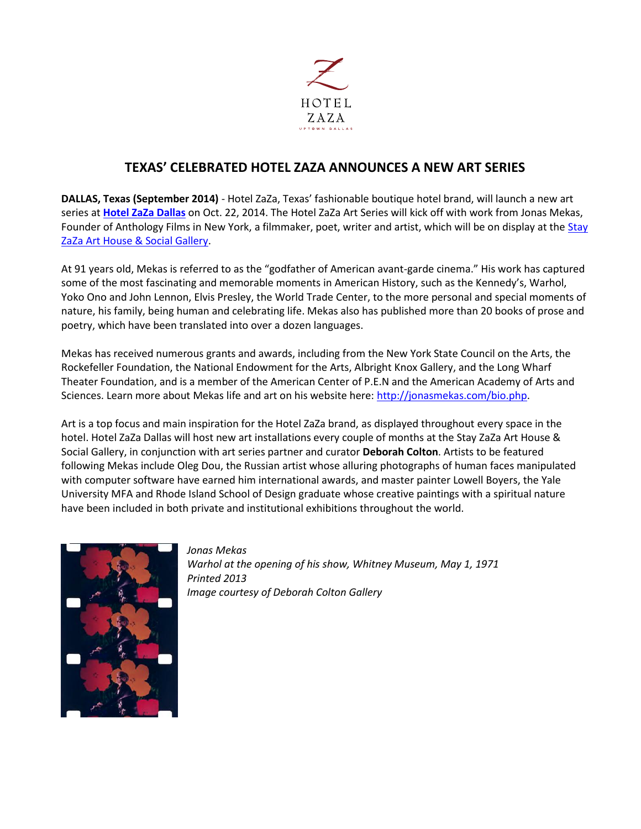

## **TEXAS' CELEBRATED HOTEL ZAZA ANNOUNCES A NEW ART SERIES**

**DALLAS, Texas (September 2014)** - Hotel ZaZa, Texas' fashionable boutique hotel brand, will launch a new art series at **[Hotel ZaZa Dallas](http://www.hotelzaza.com/)** on Oct. 22, 2014. The Hotel ZaZa Art Series will kick off with work from Jonas Mekas, Founder of Anthology Films in New York, a filmmaker, poet, writer and artist, which will be on display at the Stay [ZaZa Art House & Social Gallery.](http://www.hotelzaza.com/#dallas/arthouse)

At 91 years old, Mekas is referred to as the "godfather of American avant-garde cinema." His work has captured some of the most fascinating and memorable moments in American History, such as the Kennedy's, Warhol, Yoko Ono and John Lennon, Elvis Presley, the World Trade Center, to the more personal and special moments of nature, his family, being human and celebrating life. Mekas also has published more than 20 books of prose and poetry, which have been translated into over a dozen languages.

Mekas has received numerous grants and awards, including from the New York State Council on the Arts, the Rockefeller Foundation, the National Endowment for the Arts, Albright Knox Gallery, and the Long Wharf Theater Foundation, and is a member of the American Center of P.E.N and the American Academy of Arts and Sciences. Learn more about Mekas life and art on his website here: [http://jonasmekas.com/bio.php.](http://jonasmekas.com/bio.php)

Art is a top focus and main inspiration for the Hotel ZaZa brand, as displayed throughout every space in the hotel. Hotel ZaZa Dallas will host new art installations every couple of months at the Stay ZaZa Art House & Social Gallery, in conjunction with art series partner and curator **Deborah Colton**. Artists to be featured following Mekas include Oleg Dou, the Russian artist whose alluring photographs of human faces manipulated with computer software have earned him international awards, and master painter Lowell Boyers, the Yale University MFA and Rhode Island School of Design graduate whose creative paintings with a spiritual nature have been included in both private and institutional exhibitions throughout the world.



*Jonas Mekas Warhol at the opening of his show, Whitney Museum, May 1, 1971 Printed 2013 Image courtesy of Deborah Colton Gallery*